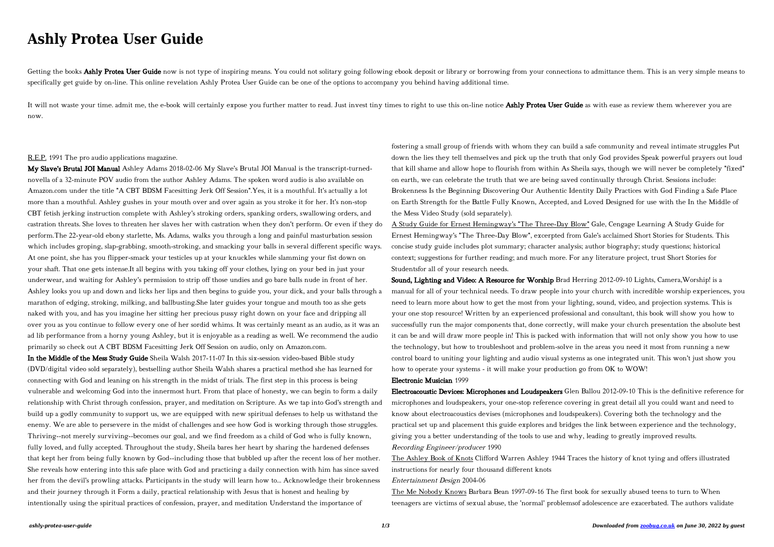#### *ashly-protea-user-guide 1/3 Downloaded from [zoobug.co.uk](http://zoobug.co.uk) on June 30, 2022 by guest*

# **Ashly Protea User Guide**

Getting the books Ashly Protea User Guide now is not type of inspiring means. You could not solitary going following ebook deposit or library or borrowing from your connections to admittance them. This is an very simple me specifically get guide by on-line. This online revelation Ashly Protea User Guide can be one of the options to accompany you behind having additional time.

It will not waste your time, admit me, the e-book will certainly expose you further matter to read. Just invest tiny times to right to use this on-line notice Ashly Protea User Guide as with ease as review them wherever yo now.

## R.E.P. 1991 The pro audio applications magazine.

My Slave's Brutal JOI Manual Ashley Adams 2018-02-06 My Slave's Brutal JOI Manual is the transcript-turnednovella of a 32-minute POV audio from the author Ashley Adams. The spoken word audio is also available on Amazon.com under the title "A CBT BDSM Facesitting Jerk Off Session".Yes, it is a mouthful. It's actually a lot more than a mouthful. Ashley gushes in your mouth over and over again as you stroke it for her. It's non-stop CBT fetish jerking instruction complete with Ashley's stroking orders, spanking orders, swallowing orders, and castration threats. She loves to threaten her slaves her with castration when they don't perform. Or even if they do perform.The 22-year-old ebony starlette, Ms. Adams, walks you through a long and painful masturbation session which includes groping, slap-grabbing, smooth-stroking, and smacking your balls in several different specific ways. At one point, she has you flipper-smack your testicles up at your knuckles while slamming your fist down on your shaft. That one gets intense.It all begins with you taking off your clothes, lying on your bed in just your underwear, and waiting for Ashley's permission to strip off those undies and go bare balls nude in front of her. Ashley looks you up and down and licks her lips and then begins to guide you, your dick, and your balls through a marathon of edging, stroking, milking, and ballbusting.She later guides your tongue and mouth too as she gets naked with you, and has you imagine her sitting her precious pussy right down on your face and dripping all over you as you continue to follow every one of her sordid whims. It was certainly meant as an audio, as it was an ad lib performance from a horny young Ashley, but it is enjoyable as a reading as well. We recommend the audio primarily so check out A CBT BDSM Facesitting Jerk Off Session on audio, only on Amazon.com.

In the Middle of the Mess Study Guide Sheila Walsh 2017-11-07 In this six-session video-based Bible study (DVD/digital video sold separately), bestselling author Sheila Walsh shares a practical method she has learned for connecting with God and leaning on his strength in the midst of trials. The first step in this process is being vulnerable and welcoming God into the innermost hurt. From that place of honesty, we can begin to form a daily relationship with Christ through confession, prayer, and meditation on Scripture. As we tap into God's strength and build up a godly community to support us, we are equipped with new spiritual defenses to help us withstand the enemy. We are able to persevere in the midst of challenges and see how God is working through those struggles. Thriving--not merely surviving--becomes our goal, and we find freedom as a child of God who is fully known, fully loved, and fully accepted. Throughout the study, Sheila bares her heart by sharing the hardened defenses that kept her from being fully known by God--including those that bubbled up after the recent loss of her mother. She reveals how entering into this safe place with God and practicing a daily connection with him has since saved her from the devil's prowling attacks. Participants in the study will learn how to... Acknowledge their brokenness and their journey through it Form a daily, practical relationship with Jesus that is honest and healing by intentionally using the spiritual practices of confession, prayer, and meditation Understand the importance of

fostering a small group of friends with whom they can build a safe community and reveal intimate struggles Put down the lies they tell themselves and pick up the truth that only God provides Speak powerful prayers out loud that kill shame and allow hope to flourish from within As Sheila says, though we will never be completely "fixed" on earth, we can celebrate the truth that we are being saved continually through Christ. Sessions include: Brokenness Is the Beginning Discovering Our Authentic Identity Daily Practices with God Finding a Safe Place on Earth Strength for the Battle Fully Known, Accepted, and Loved Designed for use with the In the Middle of the Mess Video Study (sold separately).

A Study Guide for Ernest Hemingway's "The Three-Day Blow" Gale, Cengage Learning A Study Guide for Ernest Hemingway's "The Three-Day Blow", excerpted from Gale's acclaimed Short Stories for Students. This concise study guide includes plot summary; character analysis; author biography; study questions; historical context; suggestions for further reading; and much more. For any literature project, trust Short Stories for Studentsfor all of your research needs.

Sound, Lighting and Video: A Resource for Worship Brad Herring 2012-09-10 Lights, Camera,Worship! is a manual for all of your technical needs. To draw people into your church with incredible worship experiences, you need to learn more about how to get the most from your lighting, sound, video, and projection systems. This is your one stop resource! Written by an experienced professional and consultant, this book will show you how to successfully run the major components that, done correctly, will make your church presentation the absolute best it can be and will draw more people in! This is packed with information that will not only show you how to use the technology, but how to troubleshoot and problem-solve in the areas you need it most from running a new control board to uniting your lighting and audio visual systems as one integrated unit. This won't just show you how to operate your systems - it will make your production go from OK to WOW! Electronic Musician 1999

Electroacoustic Devices: Microphones and Loudspeakers Glen Ballou 2012-09-10 This is the definitive reference for microphones and loudspeakers, your one-stop reference covering in great detail all you could want and need to know about electroacoustics devises (microphones and loudspeakers). Covering both the technology and the practical set up and placement this guide explores and bridges the link between experience and the technology, giving you a better understanding of the tools to use and why, leading to greatly improved results. Recording Engineer/producer 1990

The Ashley Book of Knots Clifford Warren Ashley 1944 Traces the history of knot tying and offers illustrated instructions for nearly four thousand different knots Entertainment Design 2004-06

The Me Nobody Knows Barbara Bean 1997-09-16 The first book for sexually abused teens to turn to When teenagers are victims of sexual abuse, the 'normal' problemsof adolescence are exacerbated. The authors validate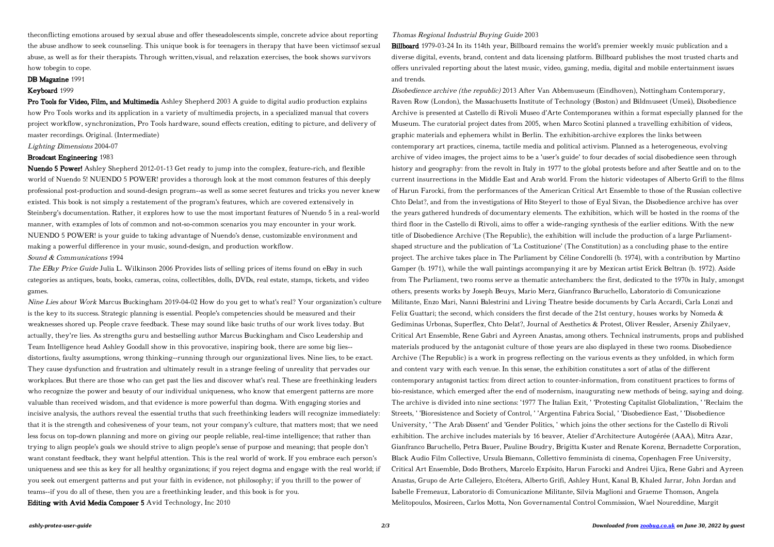theconflicting emotions aroused by sexual abuse and offer theseadolescents simple, concrete advice about reporting the abuse andhow to seek counseling. This unique book is for teenagers in therapy that have been victimsof sexual abuse, as well as for their therapists. Through written,visual, and relaxation exercises, the book shows survivors how tobegin to cope.

### DB Magazine 1991

Pro Tools for Video, Film, and Multimedia Ashley Shepherd 2003 A guide to digital audio production explains how Pro Tools works and its application in a variety of multimedia projects, in a specialized manual that covers project workflow, synchronization, Pro Tools hardware, sound effects creation, editing to picture, and delivery of master recordings. Original. (Intermediate)

## Keyboard 1999

## Lighting Dimensions 2004-07

# Broadcast Engineering 1983

The EBay Price Guide Julia L. Wilkinson 2006 Provides lists of selling prices of items found on eBay in such categories as antiques, boats, books, cameras, coins, collectibles, dolls, DVDs, real estate, stamps, tickets, and video games.

Nuendo 5 Power! Ashley Shepherd 2012-01-13 Get ready to jump into the complex, feature-rich, and flexible world of Nuendo 5! NUENDO 5 POWER! provides a thorough look at the most common features of this deeply professional post-production and sound-design program--as well as some secret features and tricks you never knew existed. This book is not simply a restatement of the program's features, which are covered extensively in Steinberg's documentation. Rather, it explores how to use the most important features of Nuendo 5 in a real-world manner, with examples of lots of common and not-so-common scenarios you may encounter in your work. NUENDO 5 POWER! is your guide to taking advantage of Nuendo's dense, customizable environment and making a powerful difference in your music, sound-design, and production workflow. Sound & Communications 1994

Nine Lies about Work Marcus Buckingham 2019-04-02 How do you get to what's real? Your organization's culture is the key to its success. Strategic planning is essential. People's competencies should be measured and their weaknesses shored up. People crave feedback. These may sound like basic truths of our work lives today. But actually, they're lies. As strengths guru and bestselling author Marcus Buckingham and Cisco Leadership and Team Intelligence head Ashley Goodall show in this provocative, inspiring book, there are some big lies- distortions, faulty assumptions, wrong thinking--running through our organizational lives. Nine lies, to be exact. They cause dysfunction and frustration and ultimately result in a strange feeling of unreality that pervades our workplaces. But there are those who can get past the lies and discover what's real. These are freethinking leaders who recognize the power and beauty of our individual uniqueness, who know that emergent patterns are more valuable than received wisdom, and that evidence is more powerful than dogma. With engaging stories and incisive analysis, the authors reveal the essential truths that such freethinking leaders will recognize immediately: that it is the strength and cohesiveness of your team, not your company's culture, that matters most; that we need less focus on top-down planning and more on giving our people reliable, real-time intelligence; that rather than trying to align people's goals we should strive to align people's sense of purpose and meaning; that people don't want constant feedback, they want helpful attention. This is the real world of work. If you embrace each person's uniqueness and see this as key for all healthy organizations; if you reject dogma and engage with the real world; if you seek out emergent patterns and put your faith in evidence, not philosophy; if you thrill to the power of teams--if you do all of these, then you are a freethinking leader, and this book is for you.

Editing with Avid Media Composer 5 Avid Technology, Inc 2010

#### Thomas Regional Industrial Buying Guide 2003

Billboard 1979-03-24 In its 114th year, Billboard remains the world's premier weekly music publication and a diverse digital, events, brand, content and data licensing platform. Billboard publishes the most trusted charts and offers unrivaled reporting about the latest music, video, gaming, media, digital and mobile entertainment issues and trends.

Disobedience archive (the republic) 2013 After Van Abbemuseum (Eindhoven), Nottingham Contemporary, Raven Row (London), the Massachusetts Institute of Technology (Boston) and Bildmuseet (Umeå), Disobedience Archive is presented at Castello di Rivoli Museo d'Arte Contemporanea within a format especially planned for the Museum. The curatorial project dates from 2005, when Marco Scotini planned a travelling exhibition of videos, graphic materials and ephemera whilst in Berlin. The exhibition-archive explores the links between contemporary art practices, cinema, tactile media and political activism. Planned as a heterogeneous, evolving archive of video images, the project aims to be a 'user's guide' to four decades of social disobedience seen through history and geography: from the revolt in Italy in 1977 to the global protests before and after Seattle and on to the current insurrections in the Middle East and Arab world. From the historic videotapes of Alberto Grifi to the films of Harun Farocki, from the performances of the American Critical Art Ensemble to those of the Russian collective Chto Delat?, and from the investigations of Hito Steyerl to those of Eyal Sivan, the Disobedience archive has over the years gathered hundreds of documentary elements. The exhibition, which will be hosted in the rooms of the third floor in the Castello di Rivoli, aims to offer a wide-ranging synthesis of the earlier editions. With the new title of Disobedience Archive (The Republic), the exhibition will include the production of a large Parliamentshaped structure and the publication of 'La Costituzione' (The Constitution) as a concluding phase to the entire project. The archive takes place in The Parliament by Céline Condorelli (b. 1974), with a contribution by Martino Gamper (b. 1971), while the wall paintings accompanying it are by Mexican artist Erick Beltran (b. 1972). Aside from The Parliament, two rooms serve as thematic antechambers: the first, dedicated to the 1970s in Italy, amongst others, presents works by Joseph Beuys, Mario Merz, Gianfranco Baruchello, Laboratorio di Comunicazione Militante, Enzo Mari, Nanni Balestrini and Living Theatre beside documents by Carla Accardi, Carla Lonzi and Felix Guattari; the second, which considers the first decade of the 21st century, houses works by Nomeda  $\&$ Gediminas Urbonas, Superflex, Chto Delat?, Journal of Aesthetics & Protest, Oliver Ressler, Arseniy Zhilyaev, Critical Art Ensemble, Rene Gabri and Ayreen Anastas, among others. Technical instruments, props and published materials produced by the antagonist culture of those years are also displayed in these two rooms. Disobedience Archive (The Republic) is a work in progress reflecting on the various events as they unfolded, in which form and content vary with each venue. In this sense, the exhibition constitutes a sort of atlas of the different contemporary antagonist tactics: from direct action to counter-information, from constituent practices to forms of bio-resistance, which emerged after the end of modernism, inaugurating new methods of being, saying and doing. The archive is divided into nine sections: '1977 The Italian Exit, ' 'Protesting Capitalist Globalization, ' 'Reclaim the Streets, ' 'Bioresistence and Society of Control, ' 'Argentina Fabrica Social, ' 'Disobedience East, ' 'Disobedience University, ' 'The Arab Dissent' and 'Gender Politics, ' which joins the other sections for the Castello di Rivoli exhibition. The archive includes materials by 16 beaver, Atelier d'Architecture Autogérée (AAA), Mitra Azar, Gianfranco Baruchello, Petra Bauer, Pauline Boudry, Brigitta Kuster and Renate Korenz, Bernadette Corporation, Black Audio Film Collective, Ursula Biemann, Collettivo femminista di cinema, Copenhagen Free University, Critical Art Ensemble, Dodo Brothers, Marcelo Expósito, Harun Farocki and Andrei Ujica, Rene Gabri and Ayreen Anastas, Grupo de Arte Callejero, Etcétera, Alberto Grifi, Ashley Hunt, Kanal B, Khaled Jarrar, John Jordan and Isabelle Fremeaux, Laboratorio di Comunicazione Militante, Silvia Maglioni and Graeme Thomson, Angela Melitopoulos, Mosireen, Carlos Motta, Non Governamental Control Commission, Wael Noureddine, Margit